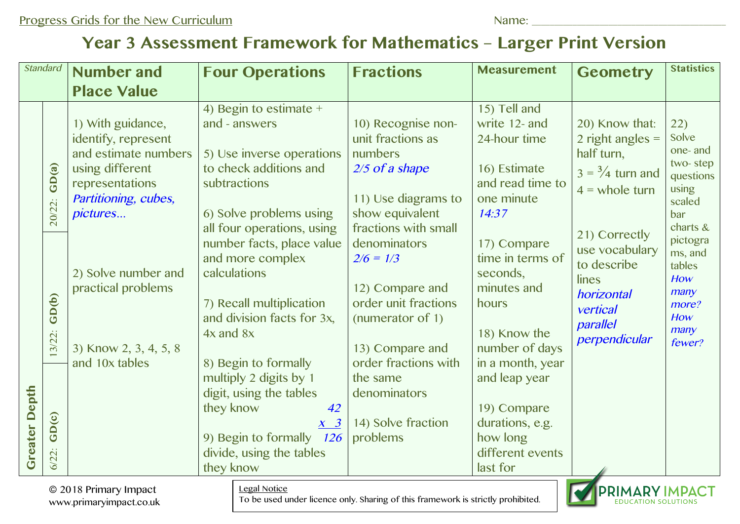## **Year 3 Assessment Framework for Mathematics – Larger Print Version**

| <b>Standard</b>                                                                                                                                             |                                     | <b>Number and</b>                                                                                                                          | <b>Four Operations</b>                                                                                                                                                                                                                                                                                                       | <b>Fractions</b>                                                                                                                                                                                    | <b>Measurement</b>                                                                                                                                                                                                       | <b>Geometry</b>                                                                                                | <b>Statistics</b>                                                                                                                                                         |
|-------------------------------------------------------------------------------------------------------------------------------------------------------------|-------------------------------------|--------------------------------------------------------------------------------------------------------------------------------------------|------------------------------------------------------------------------------------------------------------------------------------------------------------------------------------------------------------------------------------------------------------------------------------------------------------------------------|-----------------------------------------------------------------------------------------------------------------------------------------------------------------------------------------------------|--------------------------------------------------------------------------------------------------------------------------------------------------------------------------------------------------------------------------|----------------------------------------------------------------------------------------------------------------|---------------------------------------------------------------------------------------------------------------------------------------------------------------------------|
|                                                                                                                                                             |                                     | <b>Place Value</b>                                                                                                                         |                                                                                                                                                                                                                                                                                                                              |                                                                                                                                                                                                     |                                                                                                                                                                                                                          |                                                                                                                |                                                                                                                                                                           |
| <b>Greater Depth</b>                                                                                                                                        | GD(a)<br>20/22:                     | 1) With guidance,<br>identify, represent<br>and estimate numbers<br>using different<br>representations<br>Partitioning, cubes,<br>pictures | 4) Begin to estimate $+$<br>and - answers<br>5) Use inverse operations<br>to check additions and<br>subtractions<br>6) Solve problems using<br>all four operations, using                                                                                                                                                    | 10) Recognise non-<br>unit fractions as<br>numbers<br>2/5 of a shape<br>11) Use diagrams to<br>show equivalent<br>fractions with small                                                              | 15) Tell and<br>write 12- and<br>24-hour time<br>16) Estimate<br>and read time to<br>one minute<br>14:37                                                                                                                 | 20) Know that:<br>2 right angles $=$<br>half turn,<br>$3 = \frac{3}{4}$ turn and<br>$4 =$ whole turn           | 22)<br>Solve<br>one- and<br>two-step<br>questions<br>using<br>scaled<br>bar<br>charts &<br>pictogra<br>ms, and<br>tables<br>How<br>many<br>more?<br>How<br>many<br>fewer? |
|                                                                                                                                                             | GD(b)<br>3/22:<br>GD(c)<br>$6/22$ : | 2) Solve number and<br>practical problems<br>3) Know 2, 3, 4, 5, 8<br>and 10x tables                                                       | number facts, place value<br>and more complex<br>calculations<br>7) Recall multiplication<br>and division facts for 3x,<br>$4x$ and $8x$<br>8) Begin to formally<br>multiply 2 digits by 1<br>digit, using the tables<br>they know<br>42<br>$X \quad 3$<br>9) Begin to formally 126<br>divide, using the tables<br>they know | denominators<br>$2/6 = 1/3$<br>12) Compare and<br>order unit fractions<br>(numerator of 1)<br>13) Compare and<br>order fractions with<br>the same<br>denominators<br>14) Solve fraction<br>problems | 17) Compare<br>time in terms of<br>seconds,<br>minutes and<br>hours<br>18) Know the<br>number of days<br>in a month, year<br>and leap year<br>19) Compare<br>durations, e.g.<br>how long<br>different events<br>last for | 21) Correctly<br>use vocabulary<br>to describe<br>lines<br>horizontal<br>vertical<br>parallel<br>perpendicular |                                                                                                                                                                           |
| <b>Legal Notice</b><br>© 2018 Primary Impact<br>To be used under licence only. Sharing of this framework is strictly prohibited.<br>www.primaryimpact.co.uk |                                     |                                                                                                                                            |                                                                                                                                                                                                                                                                                                                              |                                                                                                                                                                                                     | <b>PRIMARY</b>                                                                                                                                                                                                           |                                                                                                                |                                                                                                                                                                           |

© 2018 Primary Impact www.primaryimpact.co.uk

## Legal Notice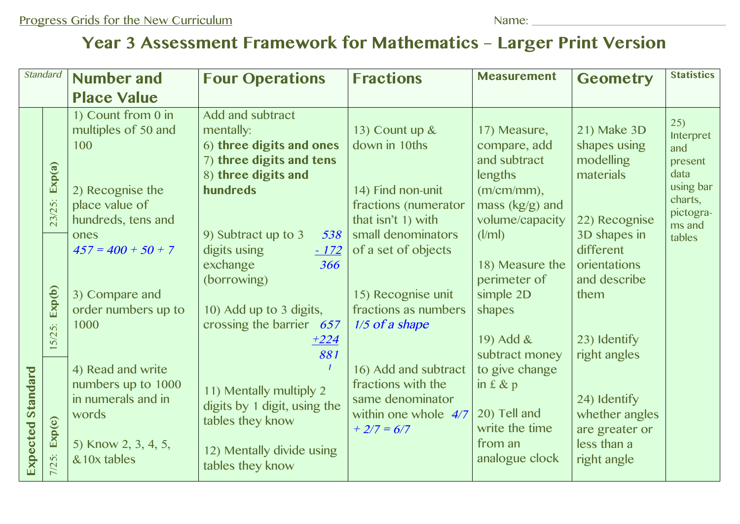## **Year 3 Assessment Framework for Mathematics – Larger Print Version**

| <b>Standard</b>          |                             | <b>Number and</b>                                                                                             | <b>Four Operations</b>                                                                                                                          | <b>Fractions</b>                                                                                                                  | <b>Measurement</b>                                                                                                              | <b>Geometry</b>                                                                                                | <b>Statistics</b>                                                               |
|--------------------------|-----------------------------|---------------------------------------------------------------------------------------------------------------|-------------------------------------------------------------------------------------------------------------------------------------------------|-----------------------------------------------------------------------------------------------------------------------------------|---------------------------------------------------------------------------------------------------------------------------------|----------------------------------------------------------------------------------------------------------------|---------------------------------------------------------------------------------|
|                          |                             | <b>Place Value</b>                                                                                            |                                                                                                                                                 |                                                                                                                                   |                                                                                                                                 |                                                                                                                |                                                                                 |
| <b>Expected Standard</b> | Exp(a)<br>/25:              | 1) Count from 0 in<br>multiples of 50 and<br>100<br>2) Recognise the<br>place value of                        | Add and subtract<br>mentally:<br>6) three digits and ones<br>7) three digits and tens<br>8) three digits and<br>hundreds                        | 13) Count up &<br>down in 10ths<br>14) Find non-unit<br>fractions (numerator                                                      | 17) Measure,<br>compare, add<br>and subtract<br>lengths<br>$(m/cm/mm)$ ,<br>mass (kg/g) and                                     | 21) Make 3D<br>shapes using<br>modelling<br>materials                                                          | 25)<br>Interpret<br>and<br>present<br>data<br>using bar<br>charts,<br>pictogra- |
|                          | 23/<br>Exp(b)               | hundreds, tens and<br>ones<br>$457 = 400 + 50 + 7$<br>3) Compare and<br>order numbers up to<br>1000           | 9) Subtract up to 3<br>538<br>digits using<br>$-172$<br>exchange<br>366<br>(borrowing)<br>10) Add up to 3 digits,<br>crossing the barrier $657$ | that isn't 1) with<br>small denominators<br>of a set of objects<br>15) Recognise unit<br>fractions as numbers<br>$1/5$ of a shape | volume/capacity<br>(l/ml)<br>18) Measure the<br>perimeter of<br>simple 2D<br>shapes                                             | 22) Recognise<br>3D shapes in<br>different<br>orientations<br>and describe<br>them                             | ms and<br>tables                                                                |
|                          | 5/25:<br>Exp(c)<br>$7/25$ : | 4) Read and write<br>numbers up to 1000<br>in numerals and in<br>words<br>5) Know 2, 3, 4, 5,<br>& 10x tables | $+224$<br>881<br>11) Mentally multiply 2<br>digits by 1 digit, using the<br>tables they know<br>12) Mentally divide using<br>tables they know   | 16) Add and subtract<br>fractions with the<br>same denominator<br>within one whole $4/7$<br>$+2/7=6/7$                            | 19) Add $\&$<br>subtract money<br>to give change<br>in $f$ & $p$<br>20) Tell and<br>write the time<br>from an<br>analogue clock | 23) Identify<br>right angles<br>24) Identify<br>whether angles<br>are greater or<br>less than a<br>right angle |                                                                                 |